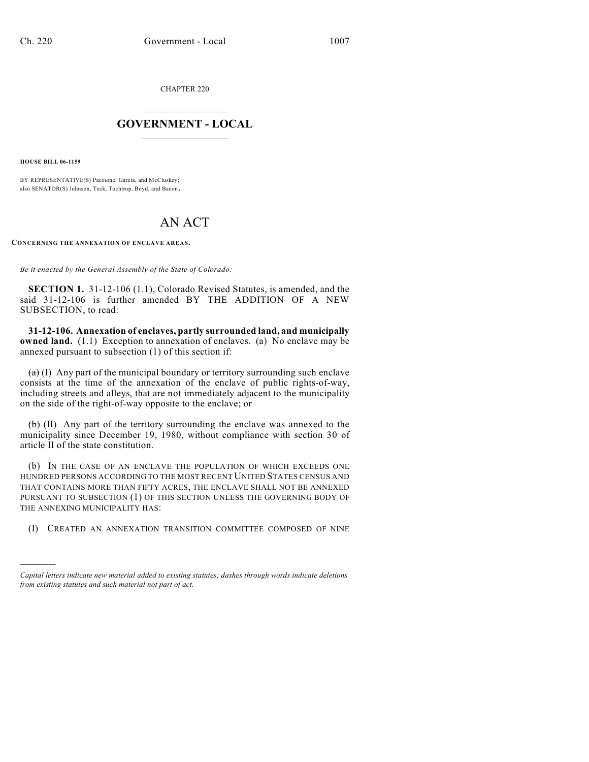CHAPTER 220

## $\mathcal{L}_\text{max}$  . The set of the set of the set of the set of the set of the set of the set of the set of the set of the set of the set of the set of the set of the set of the set of the set of the set of the set of the set **GOVERNMENT - LOCAL**  $\_$

**HOUSE BILL 06-1159**

)))))

BY REPRESENTATIVE(S) Paccione, Garcia, and McCluskey; also SENATOR(S) Johnson, Teck, Tochtrop, Boyd, and Bacon.

## AN ACT

**CONCERNING THE ANNEXATION OF ENCLAVE AREAS.**

*Be it enacted by the General Assembly of the State of Colorado:*

**SECTION 1.** 31-12-106 (1.1), Colorado Revised Statutes, is amended, and the said 31-12-106 is further amended BY THE ADDITION OF A NEW SUBSECTION, to read:

**31-12-106. Annexation of enclaves, partly surrounded land, and municipally owned land.** (1.1) Exception to annexation of enclaves. (a) No enclave may be annexed pursuant to subsection (1) of this section if:

 $(a)$  (I) Any part of the municipal boundary or territory surrounding such enclave consists at the time of the annexation of the enclave of public rights-of-way, including streets and alleys, that are not immediately adjacent to the municipality on the side of the right-of-way opposite to the enclave; or

 $(\theta)$  (II) Any part of the territory surrounding the enclave was annexed to the municipality since December 19, 1980, without compliance with section 30 of article II of the state constitution.

(b) IN THE CASE OF AN ENCLAVE THE POPULATION OF WHICH EXCEEDS ONE HUNDRED PERSONS ACCORDING TO THE MOST RECENT UNITED STATES CENSUS AND THAT CONTAINS MORE THAN FIFTY ACRES, THE ENCLAVE SHALL NOT BE ANNEXED PURSUANT TO SUBSECTION (1) OF THIS SECTION UNLESS THE GOVERNING BODY OF THE ANNEXING MUNICIPALITY HAS:

(I) CREATED AN ANNEXATION TRANSITION COMMITTEE COMPOSED OF NINE

*Capital letters indicate new material added to existing statutes; dashes through words indicate deletions from existing statutes and such material not part of act.*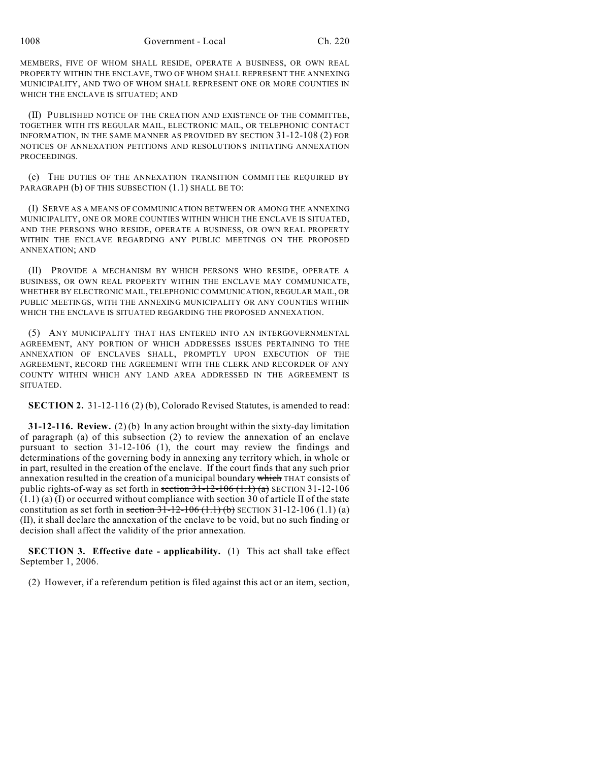MEMBERS, FIVE OF WHOM SHALL RESIDE, OPERATE A BUSINESS, OR OWN REAL PROPERTY WITHIN THE ENCLAVE, TWO OF WHOM SHALL REPRESENT THE ANNEXING MUNICIPALITY, AND TWO OF WHOM SHALL REPRESENT ONE OR MORE COUNTIES IN WHICH THE ENCLAVE IS SITUATED; AND

(II) PUBLISHED NOTICE OF THE CREATION AND EXISTENCE OF THE COMMITTEE, TOGETHER WITH ITS REGULAR MAIL, ELECTRONIC MAIL, OR TELEPHONIC CONTACT INFORMATION, IN THE SAME MANNER AS PROVIDED BY SECTION 31-12-108 (2) FOR NOTICES OF ANNEXATION PETITIONS AND RESOLUTIONS INITIATING ANNEXATION PROCEEDINGS.

(c) THE DUTIES OF THE ANNEXATION TRANSITION COMMITTEE REQUIRED BY PARAGRAPH (b) OF THIS SUBSECTION (1.1) SHALL BE TO:

(I) SERVE AS A MEANS OF COMMUNICATION BETWEEN OR AMONG THE ANNEXING MUNICIPALITY, ONE OR MORE COUNTIES WITHIN WHICH THE ENCLAVE IS SITUATED, AND THE PERSONS WHO RESIDE, OPERATE A BUSINESS, OR OWN REAL PROPERTY WITHIN THE ENCLAVE REGARDING ANY PUBLIC MEETINGS ON THE PROPOSED ANNEXATION; AND

(II) PROVIDE A MECHANISM BY WHICH PERSONS WHO RESIDE, OPERATE A BUSINESS, OR OWN REAL PROPERTY WITHIN THE ENCLAVE MAY COMMUNICATE, WHETHER BY ELECTRONIC MAIL, TELEPHONIC COMMUNICATION, REGULAR MAIL, OR PUBLIC MEETINGS, WITH THE ANNEXING MUNICIPALITY OR ANY COUNTIES WITHIN WHICH THE ENCLAVE IS SITUATED REGARDING THE PROPOSED ANNEXATION.

(5) ANY MUNICIPALITY THAT HAS ENTERED INTO AN INTERGOVERNMENTAL AGREEMENT, ANY PORTION OF WHICH ADDRESSES ISSUES PERTAINING TO THE ANNEXATION OF ENCLAVES SHALL, PROMPTLY UPON EXECUTION OF THE AGREEMENT, RECORD THE AGREEMENT WITH THE CLERK AND RECORDER OF ANY COUNTY WITHIN WHICH ANY LAND AREA ADDRESSED IN THE AGREEMENT IS SITUATED.

**SECTION 2.** 31-12-116 (2) (b), Colorado Revised Statutes, is amended to read:

**31-12-116. Review.** (2) (b) In any action brought within the sixty-day limitation of paragraph (a) of this subsection (2) to review the annexation of an enclave pursuant to section 31-12-106 (1), the court may review the findings and determinations of the governing body in annexing any territory which, in whole or in part, resulted in the creation of the enclave. If the court finds that any such prior annexation resulted in the creation of a municipal boundary which THAT consists of public rights-of-way as set forth in section  $31-12-106$   $(1.1)$   $(a)$  SECTION 31-12-106  $(1.1)$  (a) (I) or occurred without compliance with section 30 of article II of the state constitution as set forth in section  $31-12-106(1.1)$  (b) SECTION  $31-12-106(1.1)$  (a) (II), it shall declare the annexation of the enclave to be void, but no such finding or decision shall affect the validity of the prior annexation.

**SECTION 3. Effective date - applicability.** (1) This act shall take effect September 1, 2006.

(2) However, if a referendum petition is filed against this act or an item, section,